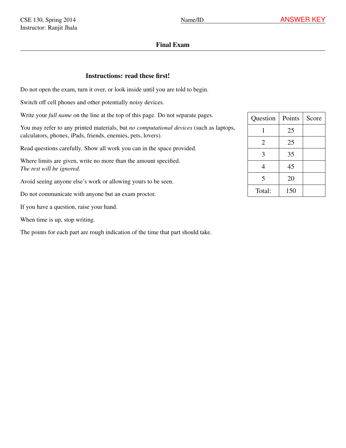## Final Exam

## Instructions: read these first!

Do not open the exam, turn it over, or look inside until you are told to begin.

Switch off cell phones and other potentially noisy devices.

Write your *full name* on the line at the top of this page. Do not separate pages.

You may refer to any printed materials, but *no computational devices* (such as laptops, calculators, phones, iPads, friends, enemies, pets, lovers).

Read questions carefully. Show all work you can in the space provided.

Where limits are given, write no more than the amount specified. *The rest will be ignored*.

Avoid seeing anyone else's work or allowing yours to be seen.

Do not communicate with anyone but an exam proctor.

If you have a question, raise your hand.

When time is up, stop writing.

The points for each part are rough indication of the time that part should take.

| Question       | Points | Score |
|----------------|--------|-------|
|                | 25     |       |
| $\overline{2}$ | 25     |       |
| 3              | 35     |       |
| 4              | 45     |       |
| 5              | 20     |       |
| Total:         | 150    |       |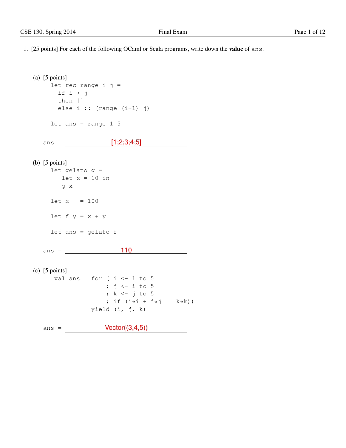1. [25 points] For each of the following OCaml or Scala programs, write down the value of ans.

```
(a) [5 points]
     let rec range i j =
      if i > j
      then []
       else i :: (range (i+1) j)
    let ans = range 1 5
  ans = [1;2;3;4;5]
(b) [5 points]
     let gelato g =
       let x = 10 in
        g x
     let x = 100let f y = x + ylet ans = gelato f
  ans = \_ 110(c) [5 points]
      val ans = for ( i <- 1 to 5
                   ; j \leftarrow i to 5
                    ; k \leftarrow j to 5
                    ; if (i * i + j * j == k * k))
                yield (i, j, k)
  ans = \text{Vector}((3,4,5))
```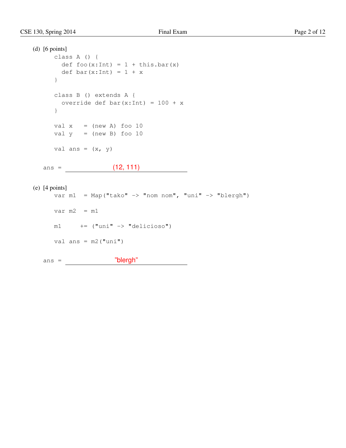```
(d) [6 points]
     class A () {
      def foo(x:Int) = 1 + this bar(x)def bar(x:Int) = 1 + x}
     class B () extends A {
      override def bar(x:Int) = 100 + x}
     val x = (new A) foo 10
     val y = (new B) foo 10
     val ans = (x, y)ans = (12, 111)
(e) [4 points]
     var ml = Map("tako" \rightarrow "nom nom", "uni" \rightarrow "blergh")
```
 $ml$   $+=$   $("uni" -> "delicioso")$ 

var  $m2 = m1$ 

val ans = m2("uni")

ans = "blergh"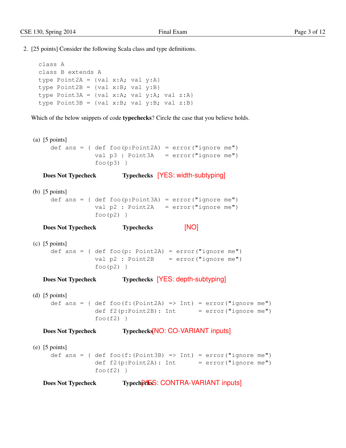2. [25 points] Consider the following Scala class and type definitions.

```
class A
class B extends A
type Point2A = \{val x:A; val y:A\}type Point2B = \{val x:B; val y:B\}type Point3A = {val x:A; val y:A; val z:A}
type Point3B = {val x:B; val y:B; val z:B}
```
Which of the below snippets of code typechecks? Circle the case that you believe holds.

(a) [5 points] def ans = { def foo( $p:Point2A$ ) = error("ignore me") val  $p3$ : Point3A = error("ignore me")  $foo(p3)$ 

```
Does Not Typecheck Typechecks [YES: width-subtyping]
```

```
(b) [5 points]
     def ans = { def foo(p:Point3A) = error("ignore me")
                 val p2 : Point2A = error("ignore me")
                 foo(p2)}
```
Does Not Typecheck Typechecks [NO]

```
(c) [5 points]
    def ans = { def foo(p: Point2A) = error("ignore me")
                 val p2: Point2B = error("ignore me")
                 foo(p2)}
```
Does Not Typecheck Typechecks [YES: depth-subtyping]

```
(d) [5 points]
     def ans = { def foo(f:(Point2A) => Int) = error("ignore me")
                 def f2(p:Point2B): Int = error("ignore me")
                 foo(f2)}
```
Does Not Typecheck Typechecks<sup>[NO: CO-VARIANT inputs]</sup>

(e) [5 points] def ans = { def foo(f:(Point3B) => Int) =  $error("ignore me")$ def  $f2(p:Point2A): Int = error("ignore me")$  $foo(f2)$ }

```
Does Not Typecheck Typecheck Typecheck Typecheck Typecheck Typecheck CONTRA-VARIANT inputs
```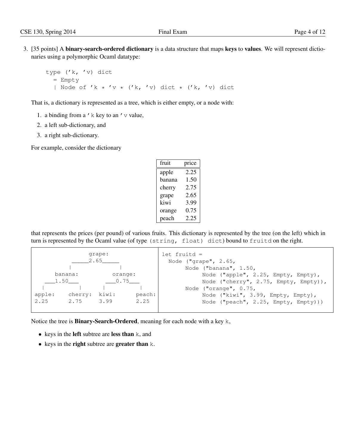3. [35 points] A binary-search-ordered dictionary is a data structure that maps keys to values. We will represent dictionaries using a polymorphic Ocaml datatype:

```
type ('k, 'v) dict
  = Empty
  | Node of 'k * 'v * ('k, 'v) dict * ('k, 'v) dict
```
That is, a dictionary is represented as a tree, which is either empty, or a node with:

- 1. a binding from a  $'$  k key to an  $'$  v value,
- 2. a left sub-dictionary, and
- 3. a right sub-dictionary.

For example, consider the dictionary

| fruit  | price |
|--------|-------|
| apple  | 2.25  |
| banana | 1.50  |
| cherry | 2.75  |
| grape  | 2.65  |
| kiwi   | 3.99  |
| orange | 0.75  |
| peach  | 2.25  |

that represents the prices (per pound) of various fruits. This dictionary is represented by the tree (on the left) which in turn is represented by the Ocaml value (of type (string, float) dict) bound to fruitd on the right.

| grape:<br>2.65 |         |         | $let$ fruitd =<br>Node $("grape", 2.65, )$ |                                       |
|----------------|---------|---------|--------------------------------------------|---------------------------------------|
|                |         |         |                                            | Node ("banana", 1.50,                 |
|                | banana: | orange: |                                            | Node ("apple", 2.25, Empty, Empty),   |
| 1.50           |         | 0.75    |                                            | Node ("cherry", 2.75, Empty, Empty)), |
|                |         |         |                                            | Node ("orange", $0.75$ ,              |
| apple:         | cherry: | kiwi:   | peach:                                     | Node ("kiwi", 3.99, Empty, Empty),    |
| 2.25           | 2.75    | 3.99    | 2.25                                       | Node ("peach", 2.25, Empty, Empty)))  |

Notice the tree is Binary-Search-Ordered, meaning for each node with a key k,

- keys in the left subtree are less than k, and
- keys in the right subtree are greater than k.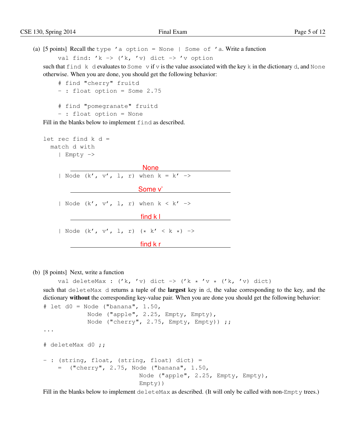```
(a) [5 \text{ points}] Recall the type 'a option = None | Some of 'a. Write a function
        val find: 'k -> ('k, 'v) dict -> 'v option
```
such that find k d evaluates to Some v if v is the value associated with the key k in the dictionary d, and None otherwise. When you are done, you should get the following behavior:

```
# find "cherry" fruitd
- : float option = Some 2.75
# find "pomegranate" fruitd
- : float option = None
```
Fill in the blanks below to implement find as described.

```
let rec find k d =
 match d with
   | Empty ->
                        None
   | Node (k', v', l, r) when k = k' \rightarrowSome v'
   | Node (k', v', l, r) when k < k' ->
                       find k l
   | Node (k', v', l, r) (* k' < k*) ->
                      find k r
```
(b) [8 points] Next, write a function

val deleteMax :  $('k, 'v)$  dict  $\rightarrow$   $('k * 'v * ('k, 'v)$  dict)

such that deleteMax d returns a tuple of the **largest** key in d, the value corresponding to the key, and the dictionary without the corresponding key-value pair. When you are done you should get the following behavior:

```
# let d0 = Node ("banana", 1.50,
            Node ("apple", 2.25, Empty, Empty),
            Node ("cherry", 2.75, Empty, Empty)) ;;
...
# deleteMax d0 ;;
- : (string, float, (string, float) dict) =
    = ("cherry", 2.75, Node ("banana", 1.50,
                          Node ("apple", 2.25, Empty, Empty),
                          Empty))
```
Fill in the blanks below to implement deleteMax as described. (It will only be called with non-Empty trees.)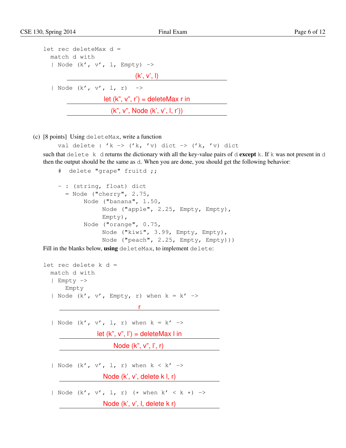| let rec deleteMax d =                      |  |  |  |  |
|--------------------------------------------|--|--|--|--|
| match d with                               |  |  |  |  |
| Node $(k', v', l, Empty)$ ->               |  |  |  |  |
| (k', v', l)                                |  |  |  |  |
| Node $(k', v', l, r) \rightarrow$          |  |  |  |  |
| let $(k$ ", $v$ ", $r'$ ) = deleteMax r in |  |  |  |  |
| (k", v", Node (k', v', l, r'))             |  |  |  |  |

(c) [8 points] Using deleteMax, write a function

```
val delete : 'k -> ('k, 'v) dict -> ('k, 'v) dict
```
such that delete k d returns the dictionary with all the key-value pairs of d **except** k. If k was not present in d then the output should be the same as d. When you are done, you should get the following behavior:

```
# delete "grape" fruitd ;;
- : (string, float) dict
  = Node ("cherry", 2.75,
       Node ("banana", 1.50,
            Node ("apple", 2.25, Empty, Empty),
            Empty),
       Node ("orange", 0.75,
            Node ("kiwi", 3.99, Empty, Empty),
            Node ("peach", 2.25, Empty, Empty)))
```
Fill in the blanks below, using deleteMax, to implement delete:

```
let rec delete k d =
 match d with
  | Empty ->
      Empty
  | Node (k', v', Empty, r) when k = k' \rightarrowr
  | Node (k', v', l, r) when k = k' ->
               let (k", v", l') = deleteMax l in
```

```
Node (k", v", l', r)| Node (k', v', l, r) when k < k' ->
               Node (k', v', delete k l, r)
| Node (k', v', l, r) (* when k' < k *) ->
               Node (k', v', l, delete k r)
```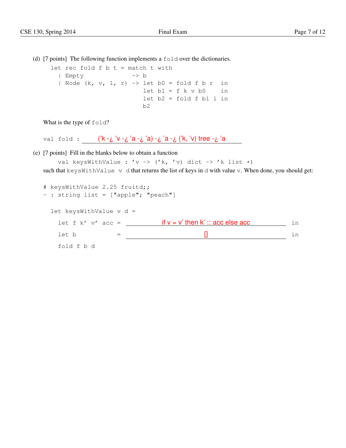(d) [7 points] The following function implements a  $f \circ \text{Id}$  over the dictionaries.

let rec fold  $f$   $b$   $t$  = match  $t$  with | Empty -> b | Node  $(k, v, l, r)$  -> let b0 = fold f b r in  $let b1 = f k v b0$  in  $let b2 = fold f b1 1 in$ b2

What is the type of fold?

val fold : ('k -¿ 'v -¿ 'a -¿ 'a) -¿ 'a -¿ ('k, 'v) tree -¿ 'a

(e) [7 points] Fill in the blanks below to obtain a function

val keysWithValue : 'v -> ('k, 'v) dict -> 'k list \*) such that keysWithValue v d that returns the list of keys in d with value v. When done, you should get:

```
# keysWithValue 2.25 fruitd;;
- : string list = ["apple"; "peach"]
 let keysWithValue v d =
   let f k' v' acc = \mathbf{if} \mathbf{v} = \mathbf{v}' then \mathbf{k}' :: acc else acc in
   let b = [] in
   fold f b d
```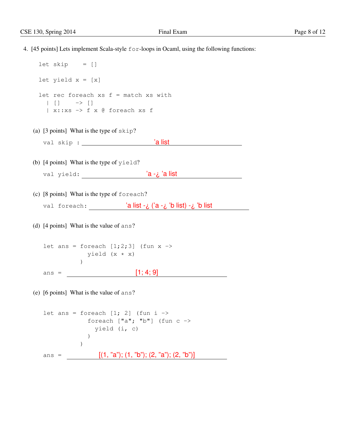4. [45 points] Lets implement Scala-style for-loops in Ocaml, using the following functions:  $let$  skip =  $[]$ 

```
let yield x = [x]let rec foreach xs f = match xs with
  | [ ] \rightarrow [ ]| x::xs -> f x @ foreach xs f
```
- (a) [3 points] What is the type of skip? val skip : <u>a list</u>
- (b) [4 points] What is the type of yield? val yield: 'a -¿ 'a list
- (c) [8 points] What is the type of foreach?

val foreach: 'a list -¿ ('a -¿ 'b list) -¿ 'b list

(d) [4 points] What is the value of ans?

let ans = foreach  $[1;2;3]$  (fun x -> yield (x \* x)  $\left( \right)$ ans =  $[1; 4; 9]$ 

(e) [6 points] What is the value of ans?

```
let ans = foreach [1; 2] (fun i ->
              foreach \lceil "a"; "b"\rceil (fun c ->
                yield (i, c)
             )
           )
ans = [(1, "a"); (1, "b"); (2, "a"); (2, "b"]]
```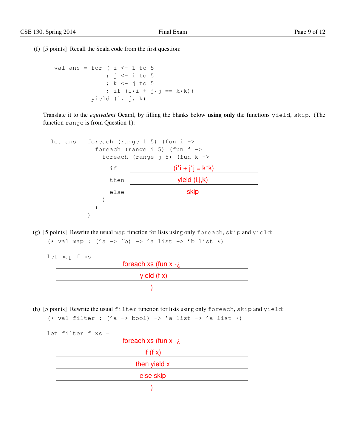(f) [5 points] Recall the Scala code from the first question:

```
val ans = for ( i \le -1 to 5
                ; j \leftarrow i to 5
                 ; k \leftarrow j to 5
                 ; if (i * i + j * j == k * k))
            yield (i, j, k)
```
Translate it to the *equivalent* Ocaml, by filling the blanks below using only the functions yield, skip. (The function range is from Question 1):

```
let ans = foreach (range 1 5) (fun i \rightarrowforeach (range i 5) (fun j \rightarrowforeach (range j 5) (fun k \rightarrowif (i^*i + j^*j = k^*k)then yield (i,j,k)
             else skip
            )
          )
        )
```
(g) [5 points] Rewrite the usual map function for lists using only foreach, skip and yield:  $(*$  val map :  $('a \rightarrow 'b) \rightarrow 'a$  list  $\rightarrow 'b$  list  $*)$ 

```
let map f xs =foreach xs (fun x - 2yield (f x))
```
(h) [5 points] Rewrite the usual filter function for lists using only foreach, skip and yield: (\* val filter : ('a -> bool) -> 'a list -> 'a list \*)

```
let filter f xs =
                     foreach xs (\tan x - \lambda)if (f x)<u> 1980 - Johann Barbara, martxa amerikan per</u>
                         then yield x
                                      else skip
                                     \sum_{i=1}^{n}
```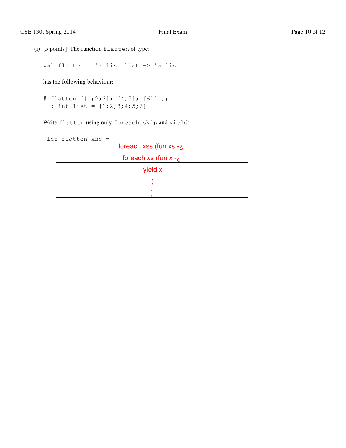(i) [5 points] The function flatten of type:

val flatten : 'a list list -> 'a list

has the following behaviour:

```
# flatten [[1;2;3]; [4;5]; [6]] ;;
- : int list = [1;2;3;4;5;6]
```
Write flatten using only foreach, skip and yield:

| let flatten xss = |  |                                 |
|-------------------|--|---------------------------------|
|                   |  | foreach xss (fun xs - $\lambda$ |
|                   |  | foreach xs (fun $x - z$ )       |
|                   |  | yield x                         |
|                   |  |                                 |
|                   |  |                                 |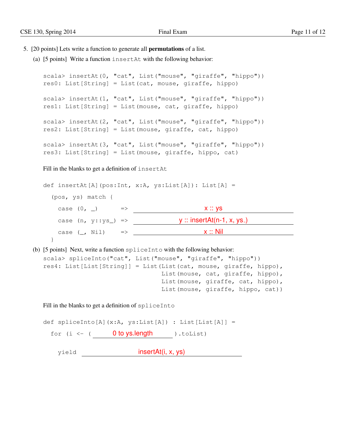- 5. [20 points] Lets write a function to generate all permutations of a list.
	- (a) [5 points] Write a function insertAt with the following behavior:

```
scala> insertAt(0, "cat", List("mouse", "giraffe", "hippo"))
res0: List[String] = List(cat, mouse, giraffe, hippo)
scala> insertAt(1, "cat", List("mouse", "giraffe", "hippo"))
res1: List[String] = List(mouse, cat, giraffe, hippo)
scala> insertAt(2, "cat", List("mouse", "giraffe", "hippo"))
res2: List[String] = List(mouse, giraffe, cat, hippo)
scala> insertAt(3, "cat", List("mouse", "giraffe", "hippo"))
res3: List[String] = List(mouse, giraffe, hippo, cat)
```
Fill in the blanks to get a definition of insertAt

def insertAt[A](pos:Int, x:A, ys:List[A]): List[A] = (pos, ys) match { case  $(0, )$  =>  $\qquad x :: ys$ case  $(n, y::ys_+)$  =>  $\underline{\hspace{1cm}}$  y :: insertAt(n-1, x, ys.) case  $(\_, \text{Nil})$   $\Rightarrow$   $\_$ }

(b) [5 points] Next, write a function spliceInto with the following behavior:

```
scala> spliceInto("cat", List("mouse", "giraffe", "hippo"))
res4: List[List[String]] = List(List(cat, mouse, giraffe, hippo),
                                List(mouse, cat, giraffe, hippo),
                                List(mouse, giraffe, cat, hippo),
                                List(mouse, giraffe, hippo, cat))
```
Fill in the blanks to get a definition of spliceInto

```
def spliceInto[A](x:A, ys:List[A]) : List[List[A]] =
 for (i \leftarrow ( 0 to ys.length ) . \text{toList})yield insertAt(i, x, ys)
```